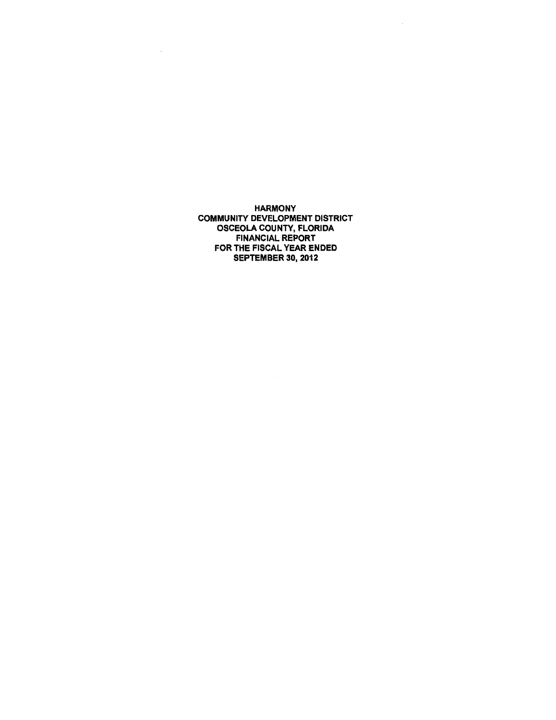**HARMONY COMMUNITY DEVELOPMENT DISTRICT OSCEOLA COUNTY, FLORIDA FINANCIAL REPORT FOR THE FISCAL YEAR ENDED SEPTEMBER 30, 2012** 

 $\sim 10^{11}$ 

 $\sim$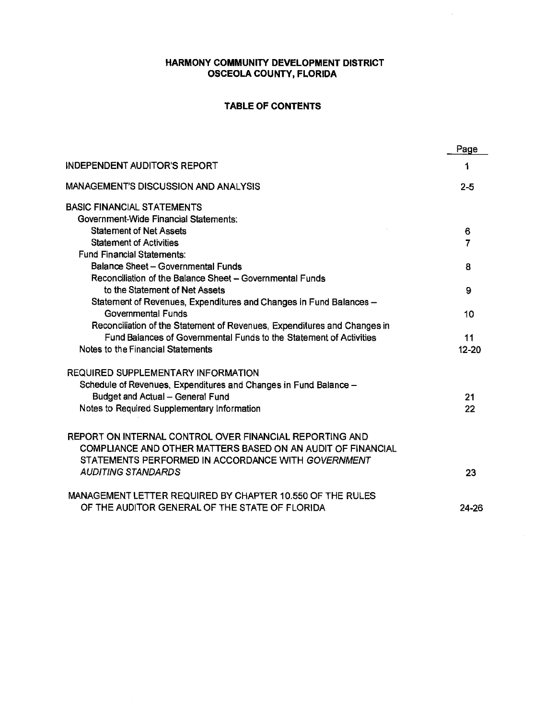# **HARMONY COMMUNITY DEVELOPMENT DISTRICT OSCEOLA COUNTY, FLORIDA**

 $\sim$ 

# **TABLE OF CONTENTS**

|                                                                          | Page           |
|--------------------------------------------------------------------------|----------------|
| INDEPENDENT AUDITOR'S REPORT                                             | 1              |
| MANAGEMENT'S DISCUSSION AND ANALYSIS                                     | $2 - 5$        |
| <b>BASIC FINANCIAL STATEMENTS</b>                                        |                |
| Government-Wide Financial Statements:                                    |                |
| <b>Statement of Net Assets</b>                                           | 6              |
| <b>Statement of Activities</b>                                           | $\overline{7}$ |
| <b>Fund Financial Statements:</b>                                        |                |
| Balance Sheet - Governmental Funds                                       | 8              |
| Reconciliation of the Balance Sheet - Governmental Funds                 |                |
| to the Statement of Net Assets                                           | 9              |
| Statement of Revenues, Expenditures and Changes in Fund Balances -       |                |
| Governmental Funds                                                       | 10             |
| Reconciliation of the Statement of Revenues, Expenditures and Changes in |                |
| Fund Balances of Governmental Funds to the Statement of Activities       | 11             |
| Notes to the Financial Statements                                        | $12 - 20$      |
|                                                                          |                |
| <b>REQUIRED SUPPLEMENTARY INFORMATION</b>                                |                |
| Schedule of Revenues, Expenditures and Changes in Fund Balance -         |                |
| <b>Budget and Actual - General Fund</b>                                  | 21             |
| Notes to Required Supplementary Information                              | 22             |
|                                                                          |                |
|                                                                          |                |
| REPORT ON INTERNAL CONTROL OVER FINANCIAL REPORTING AND                  |                |
| COMPLIANCE AND OTHER MATTERS BASED ON AN AUDIT OF FINANCIAL              |                |
| STATEMENTS PERFORMED IN ACCORDANCE WITH GOVERNMENT                       |                |
| AUDITING STANDARDS                                                       | 23             |
|                                                                          |                |
| MANAGEMENT LETTER REQUIRED BY CHAPTER 10.550 OF THE RULES                |                |
| OF THE AUDITOR GENERAL OF THE STATE OF FLORIDA                           | 24-26          |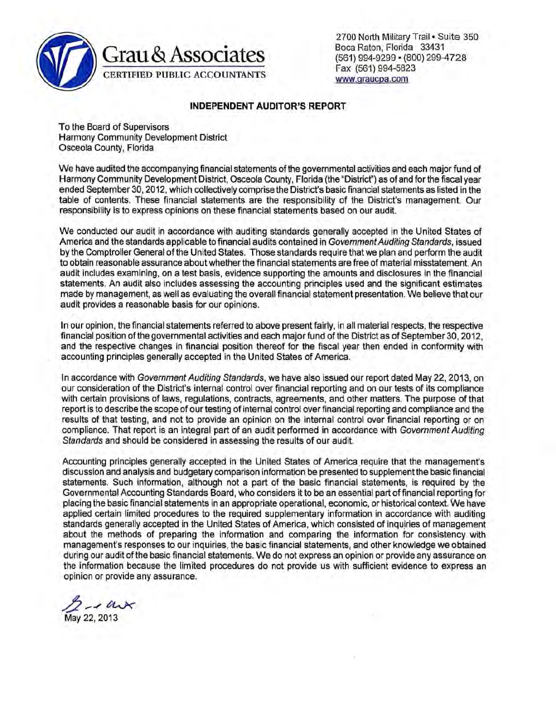

**2700 North Military Trail • Suite 350 Boca Raton, Florida 33431 (561) 994-9299 • (800) 299-4728 Fax (561) 994-5823 www.graucpa.com** 

## **INDEPENDENT AUDITOR'S REPORT**

**To the** Board of Supervisors Harmony Community Development District Osceola County, Florida

We have audited the accompanying financial statements of the governmental activities and each major fund of Harmony Community Development District, Osceola County, Florida (the "District") as of and for the fiscal year ended September 30, 2012, which collectively comprise the District's basic financial statements as listed in the table of contents. These financial statements are the responsibility of the District's management. Our responsibility is to express opinions on these financial statements based on our audit.

We conducted our audit in accordance with auditing standards generally accepted in the United States of America and the standards applicable to financial audits contained in Government Auditing Standards, issued by the Comptroller General of the United States. Those standards require that we plan and perform the audit to obtain reasonable assurance about whether the financial statements are free of material misstatement. An audit includes examining, on a test basis, evidence supporting the amounts and disclosures in the financial statements. An audit also includes assessing the accounting principles used and the significant estimates made by management, as well as evaluating the overall financial statement presentation. We believe that our audit provides a reasonable basis for our opinions.

In our opinion, the financial statements referred to above present fairly, in all material respects, the respective financial position of the governmental activities and each major fund of the District as of September 30, 2012, and the respective changes in financial position thereof for the fiscal year then ended in conformity with accounting principles generally accepted in the United States of America.

In accordance with Government Auditing Standards, we have also issued our report dated May 22, 2013, on our consideration of the District's internal control over financial reporting and on our tests of its compliance with certain provisions of laws, regulations, contracts, agreements, and other matters. The purpose of that report is to describe the scope of our testing of internal control over financial reporting and compliance and the results of that testing, and not to provide an opinion on the internal control over financial reporting or on compliance. That report is an integral part of an audit performed in accordance with Government Auditing Standards and should be considered in assessing the results of our audit.

Accounting principles generally accepted in the United States of America require that the management's **discussion** and analysis and budgetary comparison information be presented to supplement the basic financial statements. Such information, although not a part of the basic financial statements, is required by the Governmental Accounting Standards Board, who considers it to be an essential part of financial reporting for placing the basic financial statements in an appropriate operational, economic, or historical context. We have applied certain limited procedures to the required supplementary information in accordance with auditing standards generally accepted in the United States of America, which consisted of inquiries of management about the methods of preparing the information and comparing the information for consistency with management's responses to our inquiries, the basic financial statements, and other knowledge we obtained during our audit of the basic financial statements. We do not express an opinion or provide any assurance on the information because the limited procedures do not provide us with sufficient evidence to express an opinion or provide any assurance.

 $22.2013$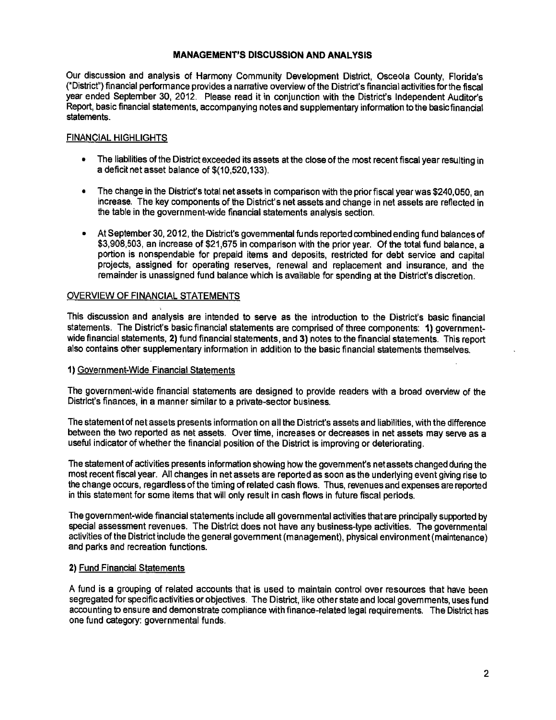# **MANAGEMENT'S DISCUSSION AND ANALYSIS**

Our discussion and analysis of Harmony Community Development District, Osceola County, Florida's ("District") financial performance provides a narrative overview of the District's financial activities for the fiscal year ended September 30, 2012. Please read it in conjunction with the District's independent Auditor's Report, basic financial statements, accompanying notes and supplementary information to the basic financial statements.

# FINANCIAL HIGHLIGHTS

- The liabilities of the District exceeded its assets at the close of the most recent fiscal year resulting in a deficit net asset balance of \$(10,520,133).
- The change in the District's total net assets in comparison with the prior fiscal year was \$240,050, an increase. The key components of the District's net assets and change in net assets are reflected in the table in the government-wide financial statements analysis section.
- At September 30, 2012, the District's governmental funds reported combined ending fund balances of \$3,908,503, an increase of \$21,675 in comparison with the prior year. Of the total fund balance, a portion is nonspendable for prepaid items and deposits, restricted for debt service and capital projects, assigned for operating reserves, renewal and replacement and insurance, and the remainder is unassigned fund balance which is available for spending at the District's discretion.

# OVERVIEW OF FINANCIAL STATEMENTS

This discussion and analysis are intended to serve as the introduction to the District's basic financial statements. The District's basic financial statements are comprised of three components: **1)** governmentwide financial statements, **2)** fund financial statements, and **3)** notes to the financial statements. This report also contains other supplementary information in addition to the basic financial statements themselves.

## 1)Government-Wide Financial Statements

The government-wide financial statements are designed to provide readers with a broad overview of the District's finances, in a manner similar to a private-sector business.

The statement of net assets presents information on all the District's assets and liabilities, with the difference between the two reported as net assets. Over time, increases or decreases in net assets may serve as a useful indicator of whether the financial position of the District is improving or deteriorating.

The statement of activities presents information showing how the government's net assets changed during the most recent fiscal year. All changes in net assets are reported as soon as the underlying event giving rise to the change occurs, regardless of the timing of related cash flows. Thus, revenues and expenses are reported in this statement for some items that will only result in cash flows in future fiscal periods.

The government-wide financial statements include all governmental activities that are principally supported by special assessment revenues. The District does not have any business-type activities. The governmental activities of the District include the general government (management), physical environment (maintenance) and parks and recreation functions.

## 2) Fund Financial Statements

A fund is a grouping of related accounts that is used to maintain control over resources that have been segregated for specific activities or objectives. The District, like other state and local governments, uses fund accounting to ensure and demonstrate compliance with finance-related legal requirements. The District has one fund category: governmental funds.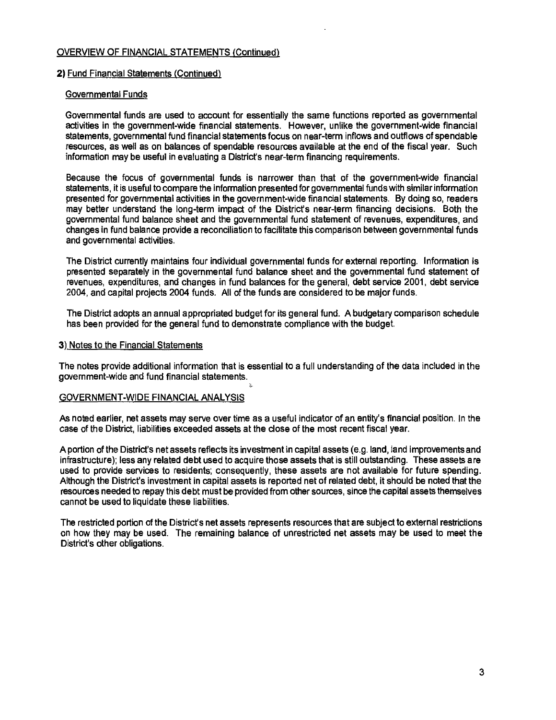# OVERVIEW OF FINANCIAL STATEMENTS (Continued)

# 2) Fund Financial Statements (Continued)

# Governmental Funds

Governmental funds are used to account for essentially the same functions reported as governmental activities in the government-wide financial statements. However, unlike the government-wide financial statements, governmental fund financial statements focus on near-term inflows and outflows of spendable resources, as well as on balances of spendable resources available at the end of the fiscal year. Such information may be useful in evaluating a District's near-term financing requirements.

Because the focus of governmental funds is narrower than that of the government-wide financial statements, it is useful to compare the information presented for governmental funds with similar information presented for governmental activities in the government-wide financial statements. By doing so, readers may better understand the long-term impact of the District's near-term financing decisions. Both the governmental fund balance sheet and the governmental fund statement of revenues, expenditures, and changes in fund balance provide a reconciliation to facilitate this comparison between governmental funds and governmental activities.

The District currently maintains four individual governmental funds for external reporting. Information is presented separately in the governmental fund balance sheet and the governmental fund statement of revenues, expenditures, and changes in fund balances for the general, debt service 2001, debt service 2004, and capital projects 2004 funds. All of the funds are considered to be major funds.

The District adopts an annual appropriated budget for its general fund. A budgetary comparison schedule has been provided for the general fund to demonstrate compliance with the budget.

#### 3) Notes to the Financial Statements

The notes provide additional information that is essential to a full understanding of the data included in the government-wide and fund financial statements.

## GOVERNMENT-WIDE FINANCIAL ANALYSIS

As noted earlier, net assets may serve over time as a useful indicator of an entity's financial position. In the case of the District, liabilities exceeded assets at the close of the most recent fiscal year.

A portion of the District's net assets reflects its investment in capital assets (e.g. land, land improvements and infrastructure); less any related debt used to acquire those assets that is still outstanding. These assets are used to provide services to residents; consequently, these assets are not available for future spending. Although the District's investment in capital assets is reported net of related debt, it should be noted that the resources needed to repay this debt must be provided from other sources, since the capital assets themselves cannot be used to liquidate these liabilities.

The restricted portion of the District's net assets represents resources that are subject to external restrictions on how they may be used. The remaining balance of unrestricted net assets may be used to meet the District's other obligations.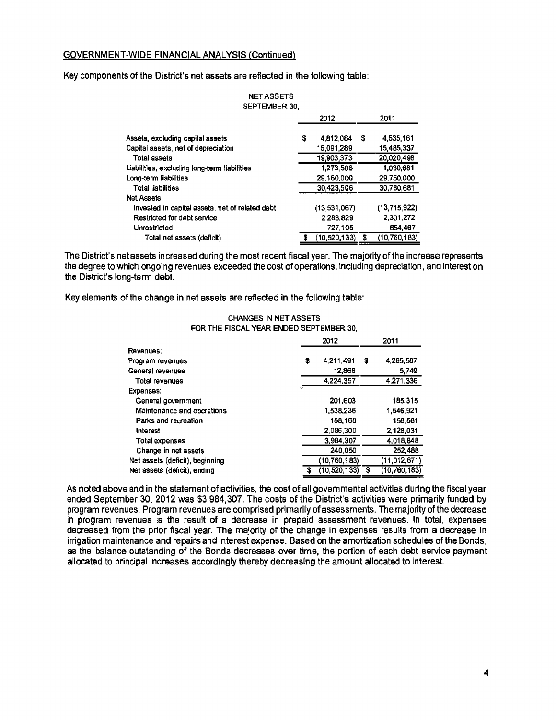# GOVERNMENT-WIDE FINANCIAL ANALYSIS (Continued)

Key components of the District's net assets are reflected in the following table:

| SEPTEMBER 30.                                   |   |               |   |                |
|-------------------------------------------------|---|---------------|---|----------------|
|                                                 |   | 2012          |   | 2011           |
| Assets, excluding capital assets                | s | 4.812.084     | S | 4 535 161      |
| Capital assets, net of depreciation             |   | 15.091.289    |   | 15,485,337     |
| <b>Total assets</b>                             |   | 19.903.373    |   | 20,020,498     |
| Liabilities, excluding long-term liabilities    |   | 1,273.506     |   | 1.030.681      |
| Long-term liabilities                           |   | 29.150.000    |   | 29.750.000     |
| <b>Total liabilities</b>                        |   | 30,423,506    |   | 30.780.681     |
| <b>Net Assets</b>                               |   |               |   |                |
| Invested in capital assets, net of related debt |   | (13.531.067)  |   | (13.715.922)   |
| Restricted for debt service                     |   | 2 2 8 3 8 2 9 |   | 2,301,272      |
| Unrestricted                                    |   | 727,105       |   | 654 467        |
| Total net assets (deficit)                      |   | (10.520.133)  | S | (10, 760, 183) |

# NET ASSETS

The District's net assets increased during the most recent fiscal year. The majority of the increase represents the degree to which ongoing revenues exceeded the cost of operations, including depreciation, and interest on the District's long-term debt.

Key elements of the change in net assets are reflected in the following table:

#### CHANGES IN NET ASSETS FOR THE FISCAL YEAR ENDED SEPTEMBER 30,

|                                 | 2012               | 2011           |
|---------------------------------|--------------------|----------------|
| Revenues:                       |                    |                |
| Program revenues                | 4.211,491<br>\$    | 4.265.587<br>S |
| General revenues                | 12,866             | 5,749          |
| Total revenues                  | 4.224,357          | 4,271,336      |
| Expenses:                       |                    |                |
| General government              | 201.603            | 185,315        |
| Maintenance and operations      | 1.538,236          | 1,546,921      |
| Parks and recreation            | 158,168            | 158,581        |
| Interest                        | 2,086,300          | 2.128,031      |
| Total expenses                  | 3.984.307          | 4.018.848      |
| Change in net assets            | 240.050            | 252,488        |
| Net assets (deficit), beginning | (10,760,183)       | (11,012,671)   |
| Net assets (deficit), ending    | (10.520, 133)<br>S | (10.760, 183)  |

As noted above and in the statement of activities, the cost of all governmental activities during the fiscal year ended September 30, 2012 was \$3,984,307. The costs of the District's activities were primarily funded by program revenues. Program revenues are comprised primarily of assessments. The majority of the decrease in program revenues is the result of a decrease in prepaid assessment revenues. In total, expenses decreased from the prior fiscal year. The majority of the change in expenses results from a decrease in irrigation maintenance and repairs and interest expense. Based on the amortization schedules of the Bonds, as the balance outstanding of the Bonds decreases over time, the portion of each debt service payment allocated to principal increases accordingly thereby decreasing the amount allocated to interest.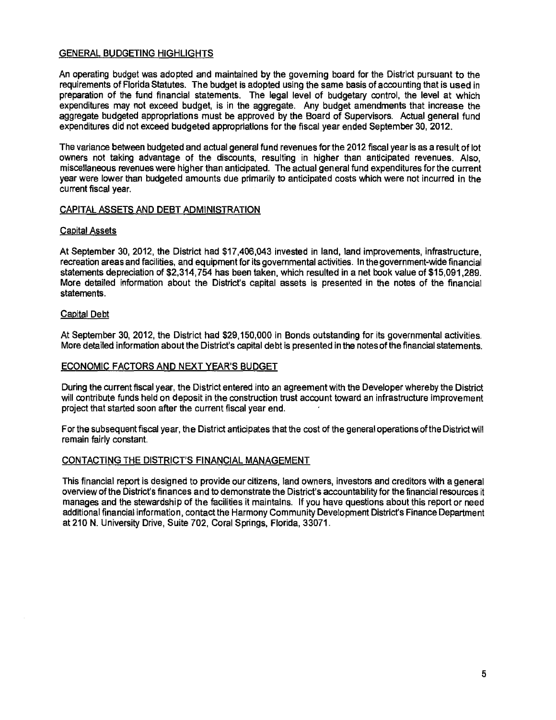# GENERAL BUDGETING HIGHLIGHTS

An operating budget was adopted and maintained by the governing board for the District pursuant to the requirements of Florida Statutes. The budget is adopted using the same basis of accounting that is used in preparation of the fund financial statements. The legal level of budgetary control, the level at which expenditures may not exceed budget, is in the aggregate. Any budget amendments that increase the aggregate budgeted appropriations must be approved by the Board of Supervisors. Actual general fund expenditures did not exceed budgeted appropriations for the fiscal year ended September 30, 2012.

The variance between budgeted and actual general fund revenues for the 2012 fiscal year is as a result of lot owners not taking advantage of the discounts, resulting in higher than anticipated revenues. Also, miscellaneous revenues were higher than anticipated. The actual general fund expenditures for the current year were lower than budgeted amounts due primarily to anticipated costs which were not incurred in the current fiscal year.

# CAPITAL ASSETS AND DEBT ADMINISTRATION

# Capital Assets

At September 30, 2012, the District had \$17,406,043 invested in land, land improvements, infrastructure, recreation areas and facilities, and equipment for its governmental activities. In the government-wide financial statements depreciation of \$2,314,754 has been taken, which resulted in a net book value of \$15,091,289. More detailed information about the District's capital assets is presented in the notes of the financial statements.

# Capital Debt

At September 30, 2012, the District had \$29,150,000 in Bonds outstanding for its governmental activities. More detailed information about the District's capital debt is presented in the notes of the financial statements.

## ECONOMIC FACTORS AND NEXT YEAR'S BUDGET

During the current fiscal year, the District entered into an agreement with the Developer whereby the District will contribute funds held on deposit in the construction trust account toward an infrastructure improvement project that started soon after the current fiscal year end.

For the subsequent fiscal year, the District anticipates that the cost of the general operations of the District will remain fairly constant.

# CONTACTING THE DISTRICT'S FINANCIAL MANAGEMENT

This financial report is designed to provide our citizens, land owners, investors and creditors with a general overview of the District's finances and to demonstrate the District's accountability for the financial resources it manages and the stewardship of the facilities it maintains. If you have questions about this report or need additional financial information, contact the Harmony Community Development District's Finance Department at 210 N. University Drive, Suite 702, Coral Springs, Florida, 33071.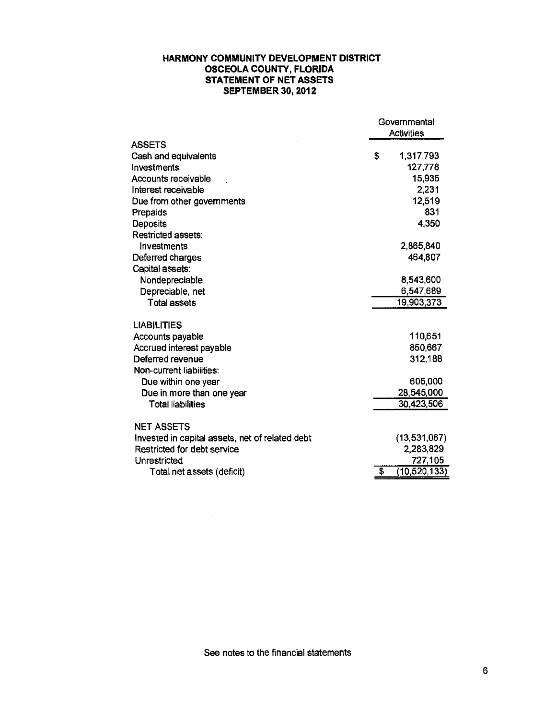# **HARMONY COMMUNITY DEVELOPMENT DISTRICT OSCEOLA COUNTY, FLORIDA STATEMENT OF NET ASSETS SEPTEMBER 30, 2012**

|                                                 | Governmental<br><b>Activities</b> |              |  |  |  |
|-------------------------------------------------|-----------------------------------|--------------|--|--|--|
| <b>ASSETS</b>                                   |                                   |              |  |  |  |
| Cash and equivalents                            | S                                 | 1,317,793    |  |  |  |
| Investments                                     |                                   | 127,778      |  |  |  |
| Accounts receivable                             |                                   | 15,935       |  |  |  |
| Interest receivable                             |                                   | 2,231        |  |  |  |
| Due from other governments                      |                                   | 12,519       |  |  |  |
| Prepaids                                        |                                   | 831          |  |  |  |
| Deposits                                        |                                   | 4,350        |  |  |  |
| Restricted assets:                              |                                   |              |  |  |  |
| Investments                                     |                                   | 2,865,840    |  |  |  |
| Deferred charges                                |                                   | 464,807      |  |  |  |
| Capital assets:                                 |                                   |              |  |  |  |
| Nondepreciable                                  |                                   | 8,543,600    |  |  |  |
| Depreciable, net                                |                                   | 6,547,689    |  |  |  |
| Total assets                                    |                                   | 19,903,373   |  |  |  |
| <b>LIABILITIES</b>                              |                                   |              |  |  |  |
| Accounts payable                                |                                   | 110,651      |  |  |  |
| Accrued interest payable                        |                                   | 850,667      |  |  |  |
| Deferred revenue                                |                                   | 312,188      |  |  |  |
| Non-current liabilities:                        |                                   |              |  |  |  |
| Due within one year                             |                                   | 605,000      |  |  |  |
| Due in more than one year                       |                                   | 28,545,000   |  |  |  |
| <b>Total liabilities</b>                        |                                   | 30,423,506   |  |  |  |
| <b>NET ASSETS</b>                               |                                   |              |  |  |  |
| Invested in capital assets, net of related debt |                                   | (13,531,067) |  |  |  |
| Restricted for debt service                     |                                   | 2,283,829    |  |  |  |
| Unrestricted                                    |                                   | 727,105      |  |  |  |
| Total net assets (deficit)                      | \$                                | (10,520,133) |  |  |  |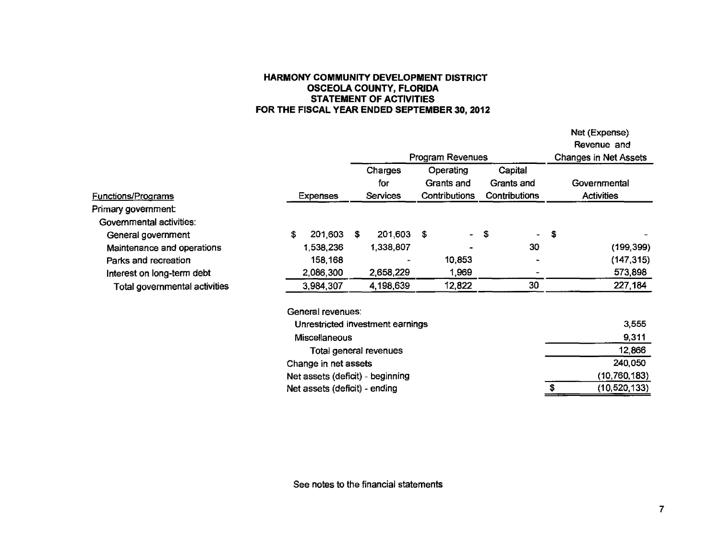# **HARMONY COMMUNITY DEVELOPMENT DISTRICT OSCEOLA COUNTY, FLORIDA STATEMENT OF ACTIVITIES FOR THE FISCAL YEAR ENDED SEPTEMBER 30, 2012**

|                               |                               |   |                                  |                  |        |               |    |    | Net (Expense)         |
|-------------------------------|-------------------------------|---|----------------------------------|------------------|--------|---------------|----|----|-----------------------|
|                               |                               |   |                                  |                  |        |               |    |    | Revenue and           |
|                               |                               |   |                                  | Program Revenues |        |               |    |    | Changes in Net Assets |
|                               |                               |   | Charges                          | Operating        |        | Capital       |    |    |                       |
|                               |                               |   | for                              | Grants and       |        | Grants and    |    |    | Governmental          |
| <b>Functions/Programs</b>     | <b>Expenses</b>               |   | <b>Services</b>                  | Contributions    |        | Contributions |    |    | <b>Activities</b>     |
| Primary government:           |                               |   |                                  |                  |        |               |    |    |                       |
| Governmental activities:      |                               |   |                                  |                  |        |               |    |    |                       |
| General government            | \$<br>201,603                 | S | 201,603                          | \$               | $\sim$ | - \$          |    | \$ |                       |
| Maintenance and operations    | 1,538,236                     |   | 1,338,807                        |                  |        |               | 30 |    | (199, 399)            |
| Parks and recreation          | 158,168                       |   |                                  |                  | 10,853 |               |    |    | (147, 315)            |
| Interest on long-term debt    | 2,086,300                     |   | 2,658,229                        |                  | 1,969  |               |    |    | 573,898               |
| Total governmental activities | 3,984,307                     |   | 4,198,639                        |                  | 12,822 |               | 30 |    | 227,184               |
|                               |                               |   |                                  |                  |        |               |    |    |                       |
|                               | General revenues:             |   |                                  |                  |        |               |    |    |                       |
|                               |                               |   | Unrestricted investment earnings |                  |        |               |    |    | 3,555                 |
|                               | <b>Miscellaneous</b>          |   |                                  |                  |        |               |    |    | 9,311                 |
|                               |                               |   | Total general revenues           |                  |        |               |    |    | 12,866                |
|                               | Change in net assets          |   |                                  |                  |        |               |    |    | 240,050               |
|                               |                               |   | Net assets (deficit) - beginning |                  |        |               |    |    | (10, 760, 183)        |
|                               | Net assets (deficit) - ending |   |                                  |                  |        |               |    | s  | (10, 520, 133)        |

See notes to the financial statements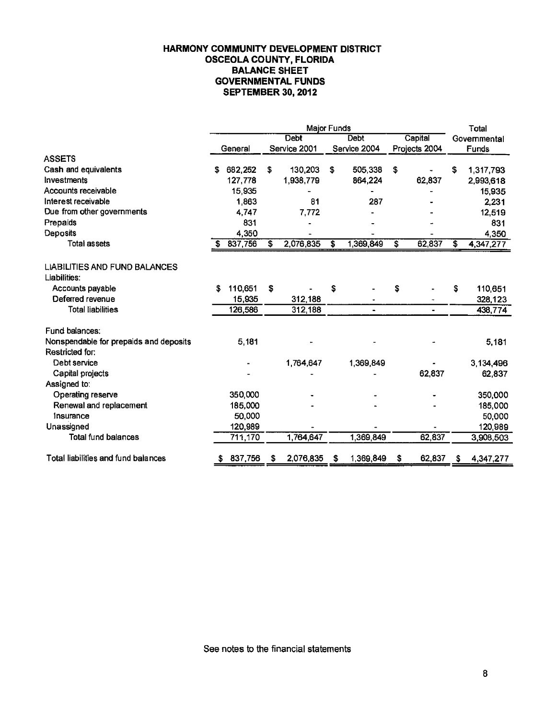# **HARMONY COMMUNITY DEVELOPMENT DISTRICT OSCEOLA COUNTY, FLORIDA BALANCE SHEET GOVERNMENTAL FUNDS SEPTEMBER 30, 2012**

|                                        | Major Funds |         |                 |              |      |                |         |               | Total |              |
|----------------------------------------|-------------|---------|-----------------|--------------|------|----------------|---------|---------------|-------|--------------|
|                                        |             |         | <b>Debt</b>     |              | Debt |                | Capital |               |       | Governmental |
|                                        |             | General |                 | Service 2001 |      | Service 2004   |         | Projects 2004 |       | <b>Funds</b> |
| <b>ASSETS</b>                          |             |         |                 |              |      |                |         |               |       |              |
| Cash and equivalents                   | S           | 682,252 | \$              | 130,203      | £.   | 505,338        | s       |               | S     | 1,317,793    |
| Investments                            |             | 127,778 |                 | 1,938,779    |      | 864,224        |         | 62,837        |       | 2,993,618    |
| Accounts receivable                    |             | 15,935  |                 |              |      |                |         |               |       | 15,935       |
| Interest receivable                    |             | 1,863   |                 | 81           |      | 287            |         |               |       | 2,231        |
| Due from other governments             |             | 4,747   |                 | 7,772        |      |                |         |               |       | 12,519       |
| Prepaids                               |             | 831     |                 |              |      |                |         |               |       | 831          |
| <b>Deposits</b>                        |             | 4,350   |                 |              |      |                |         |               |       | 4,350        |
| Total assets                           | s           | 837,756 | $\overline{\$}$ | 2,076,835    | \$   | 1,369,849      | \$      | 62.837        | \$    | 4,347,277    |
| <b>LIABILITIES AND FUND BALANCES</b>   |             |         |                 |              |      |                |         |               |       |              |
| Liabilities:                           |             |         |                 |              |      |                |         |               |       |              |
| Accounts payable                       | S           | 110,651 | \$              |              | S    |                | S       |               | s     | 110,651      |
| Deferred revenue                       |             | 15,935  |                 | 312,188      |      |                |         |               |       | 328,123      |
| <b>Total liabilities</b>               |             | 126,586 |                 | 312,188      |      | $\blacksquare$ |         |               |       | 438,774      |
| Fund balances:                         |             |         |                 |              |      |                |         |               |       |              |
| Nonspendable for prepaids and deposits |             | 5,181   |                 |              |      |                |         |               |       | 5,181        |
| Restricted for:                        |             |         |                 |              |      |                |         |               |       |              |
| Debt service                           |             |         |                 | 1,764,647    |      | 1,369,849      |         |               |       | 3,134,496    |
| Capital projects                       |             |         |                 |              |      |                |         | 62,837        |       | 62,837       |
| Assigned to:                           |             |         |                 |              |      |                |         |               |       |              |
| Operating reserve                      |             | 350,000 |                 |              |      |                |         |               |       | 350,000      |
| Renewal and replacement                |             | 185,000 |                 |              |      |                |         |               |       | 185,000      |
| insurance                              |             | 50,000  |                 |              |      |                |         |               |       | 50,000       |
| Unassigned                             |             | 120,989 |                 |              |      |                |         |               |       | 120,989      |
| Total fund balances                    |             | 711,170 |                 | 1,764,647    |      | 1,369,849      |         | 62,837        |       | 3,908,503    |
| Total liabilities and fund balances    | 5.          | 837,756 | \$              | 2,076,835    | S    | 1,369,849      | \$      | 62,837        | s     | 4,347,277    |

See notes to the financial statements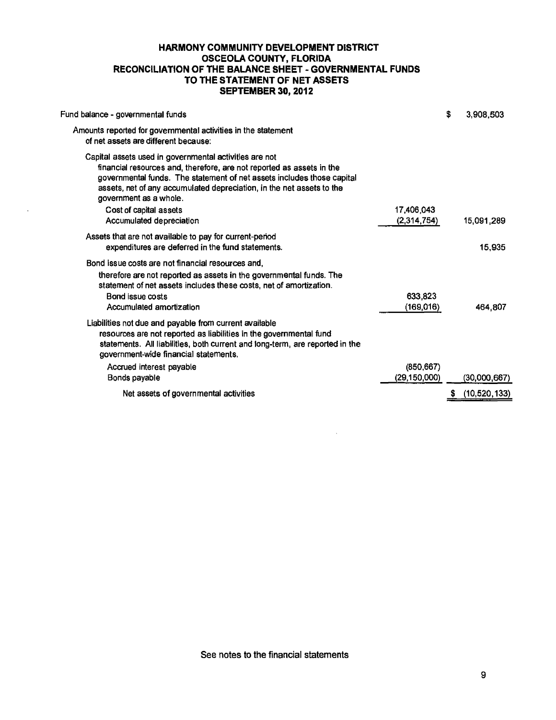# **HARMONY COMMUNITY DEVELOPMENT DISTRICT OSCEOLA COUNTY, FLORIDA RECONCILIATION OF THE BALANCE SHEET - GOVERNMENTAL FUNDS TO THE STATEMENT OF NET ASSETS SEPTEMBER 30, 2012**

| Fund balance - governmental funds                                                                                                                                                                                                                                                                            | \$<br>3,908,503 |
|--------------------------------------------------------------------------------------------------------------------------------------------------------------------------------------------------------------------------------------------------------------------------------------------------------------|-----------------|
| Amounts reported for governmental activities in the statement<br>of net assets are different because:                                                                                                                                                                                                        |                 |
| Capital assets used in governmental activities are not<br>financial resources and, therefore, are not reported as assets in the<br>governmental funds. The statement of net assets includes those capital<br>assets, net of any accumulated depreciation, in the net assets to the<br>government as a whole. |                 |
| 17,406,043<br>Cost of capital assets                                                                                                                                                                                                                                                                         |                 |
| Accumulated depreciation<br>(2,314,754)                                                                                                                                                                                                                                                                      | 15,091,289      |
| Assets that are not available to pay for current-period<br>expenditures are deferred in the fund statements.                                                                                                                                                                                                 | 15.935          |
| Bond issue costs are not financial resources and.                                                                                                                                                                                                                                                            |                 |
| therefore are not reported as assets in the governmental funds. The<br>statement of net assets includes these costs, net of amortization.                                                                                                                                                                    |                 |
| 633,823<br>Bond issue costs                                                                                                                                                                                                                                                                                  |                 |
| Accumulated amortization<br>(169,016)                                                                                                                                                                                                                                                                        | 464.807         |
| Liabilities not due and payable from current available<br>resources are not reported as liabilities in the governmental fund<br>statements. All liabilities, both current and long-term, are reported in the<br>government-wide financial statements.                                                        |                 |
| (850, 667)<br>Accrued interest payable                                                                                                                                                                                                                                                                       |                 |
| (29, 150, 000)<br>Bonds payable                                                                                                                                                                                                                                                                              | (30,000,667)    |
| Net assets of governmental activities                                                                                                                                                                                                                                                                        | (10, 520, 133)  |

 $\bar{\mathcal{A}}$ 

 $\lambda$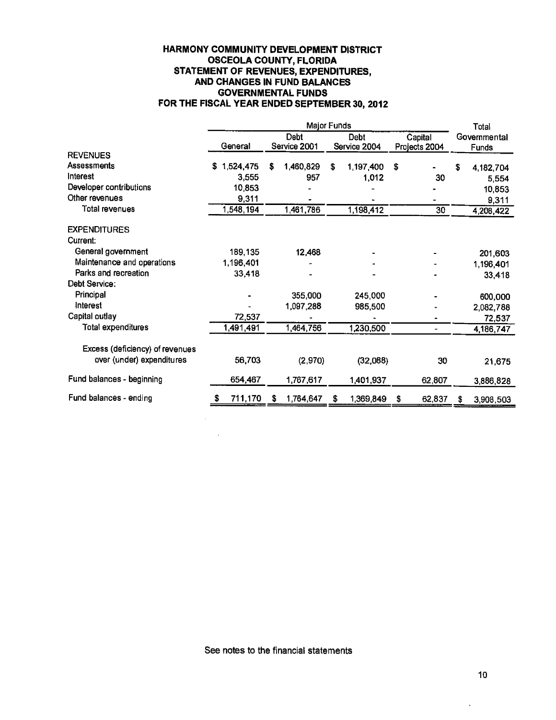# **HARMONY COMMUNITY DEVELOPMENT DISTRICT OSCEOLA COUNTY, FLORIDA STATEMENT OF REVENUES, EXPENDITURES, AND CHANGES IN FUND BALANCES GOVERNMENTAL FUNDS FOR THE FISCAL YEAR ENDED SEPTEMBER 30, 2012**

|                                 | Major Funds |           |    |              |      |              |         |               |              | Total              |  |  |
|---------------------------------|-------------|-----------|----|--------------|------|--------------|---------|---------------|--------------|--------------------|--|--|
|                                 |             |           |    | Debt         | Debt |              | Capital |               |              | Governmental       |  |  |
| <b>REVENUES</b>                 |             | General   |    | Service 2001 |      | Service 2004 |         | Projects 2004 | <b>Funds</b> |                    |  |  |
| <b>Assessments</b>              | S           | 1,524,475 | Ŝ  | 1,460,829    | s.   |              |         |               |              |                    |  |  |
| Interest                        |             | 3,555     |    | 957          |      | 1,197,400    | S       | 30            | s            | 4,182,704          |  |  |
| Developer contributions         |             | 10,853    |    |              |      | 1,012        |         |               |              | 5,554              |  |  |
| Other revenues                  |             | 9,311     |    |              |      |              |         |               |              | 10,853             |  |  |
| Total revenues                  |             | 1,548,194 |    | 1,461,786    |      | 1,198,412    |         | 30            |              | 9,311<br>4,208,422 |  |  |
| <b>EXPENDITURES</b>             |             |           |    |              |      |              |         |               |              |                    |  |  |
| Current:                        |             |           |    |              |      |              |         |               |              |                    |  |  |
| General government              |             | 189,135   |    | 12,468       |      |              |         |               |              | 201,603            |  |  |
| Maintenance and operations      |             | 1,196,401 |    |              |      |              |         |               |              | 1,196,401          |  |  |
| Parks and recreation            |             | 33,418    |    |              |      |              |         |               |              | 33,418             |  |  |
| Debt Service:                   |             |           |    |              |      |              |         |               |              |                    |  |  |
| Principal                       |             |           |    | 355,000      |      | 245,000      |         |               |              | 600,000            |  |  |
| Interest                        |             |           |    | 1,097,288    |      | 985,500      |         |               |              | 2,082,788          |  |  |
| Capital outlay                  |             | 72,537    |    |              |      |              |         |               |              | 72,537             |  |  |
| Total expenditures              |             | 1,491,491 |    | 1,464,756    |      | 1,230,500    |         | ۰             |              | 4,186,747          |  |  |
| Excess (deficiency) of revenues |             |           |    |              |      |              |         |               |              |                    |  |  |
| over (under) expenditures       |             | 56,703    |    | (2,970)      |      | (32,088)     |         | 30            |              | 21,675             |  |  |
| Fund balances - beginning       |             | 654,467   |    | 1,767,617    |      | 1,401.937    |         | 62,807        |              | 3,886,828          |  |  |
| Fund balances - ending          | -5          | 711,170   | s. | 1,764,647    | \$   | 1,369,849    | s       | 62,837        | S            | 3,908,503          |  |  |

 $\sim$ 

 $\sim 10^{11}$ 

 $\mathbf{r}$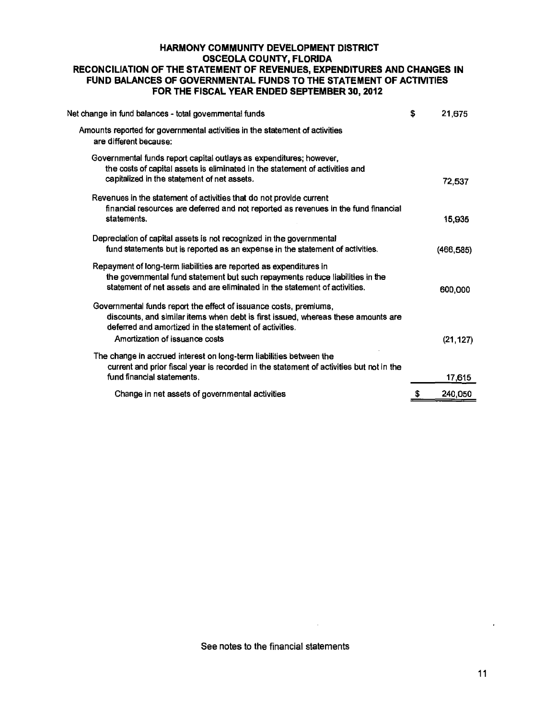# **HARMONY COMMUNITY DEVELOPMENT DISTRICT OSCEOLA COUNTY, FLORIDA RECONCILIATION OF THE STATEMENT OF REVENUES, EXPENDITURES AND CHANGES IN FUND BALANCES OF GOVERNMENTAL FUNDS TO THE STATEMENT OF ACTIVITIES FOR THE FISCAL YEAR ENDED SEPTEMBER 30, 2012**

| Net change in fund balances - total govemmental funds                                                                                                                                                                                              | S | 21.675     |
|----------------------------------------------------------------------------------------------------------------------------------------------------------------------------------------------------------------------------------------------------|---|------------|
| Amounts reported for governmental activities in the statement of activities<br>are different because:                                                                                                                                              |   |            |
| Governmental funds report capital outlays as expenditures; however,<br>the costs of capital assets is eliminated in the statement of activities and<br>capitalized in the statement of net assets.                                                 |   | 72,537     |
| Revenues in the statement of activities that do not provide current<br>financial resources are deferred and not reported as revenues in the fund financial<br>statements.                                                                          |   | 15,935     |
| Depreciation of capital assets is not recognized in the governmental<br>fund statements but is reported as an expense in the statement of activities.                                                                                              |   | (466, 585) |
| Repayment of long-term liabilities are reported as expenditures in<br>the governmental fund statement but such repayments reduce liabilities in the<br>statement of net assets and are eliminated in the statement of activities.                  |   | 600,000    |
| Governmental funds report the effect of issuance costs, premiums,<br>discounts, and similar items when debt is first issued, whereas these amounts are<br>deferred and amortized in the statement of activities.<br>Amortization of issuance costs |   | (21, 127)  |
| The change in accrued interest on long-term liabilities between the<br>current and prior fiscal year is recorded in the statement of activities but not in the<br>fund financial statements.                                                       |   | 17,615     |
| Change in net assets of governmental activities                                                                                                                                                                                                    |   | 240,050    |

**See notes to the financial statements** 

 $\mathcal{L}_{\mathcal{L}}$ 

 $\cdot$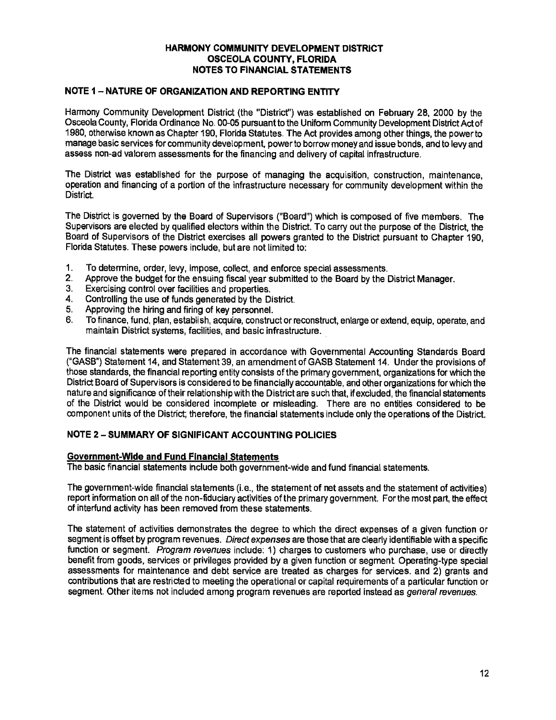# **HARMONY COMMUNITY DEVELOPMENT DISTRICT OSCEOLA COUNTY, FLORIDA NOTES TO FINANCIAL STATEMENTS**

# **NOTE 1— NATURE OF ORGANIZATION AND REPORTING ENTITY**

Harmony Community Development District (the "District") was established on February 28, 2000 by the Osceola County, Florida Ordinance No. 00-05 pursuant to the Uniform Community Development District Act of 1980, otherwise known as Chapter 190, Florida Statutes. The Act provides among other things, the power to manage basic services for community development, power to borrow money and issue bonds, and to levy and assess non-ad valorem assessments for the financing and delivery of capital infrastructure.

The District was established for the purpose of managing the acquisition, construction, maintenance, operation and financing of a portion of the infrastructure necessary for community development within the District.

The District is governed by the Board of Supervisors ("Board") which is composed of five members. The Supervisors are elected by qualified electors within the District. To carry out the purpose of the District, the Board of Supervisors of the District exercises all powers granted to the District pursuant to Chapter 190, Florida Statutes. These powers include, but are not limited to:

- 1. To determine, order, levy, impose, collect, and enforce special assessments.
- 2. Approve the budget for the ensuing fiscal year submitted to the Board by the District Manager.
- 3. Exercising control over facilities and properties.
- 4. Controlling the use of funds generated by the District.
- 5. Approving the hiring and firing of key personnel.<br>6. To finance fund plan establish acquire constru
- 6. To finance, fund, plan, establish, acquire, construct or reconstruct, enlarge or extend, equip, operate, and maintain District systems, facilities, and basic infrastructure.

The financial statements were prepared in accordance with Governmental Accounting Standards Board ("GASB") Statement 14, and Statement 39, an amendment of GASB Statement 14. Under the provisions of those standards, the financial reporting entity consists of the primary government, organizations for which the District Board of Supervisors is considered to be financially accountable, and other organizations for which the nature and significance of their relationship with the District are such that, if excluded, the financial statements of the District would be considered incomplete or misleading. There are no entities considered to be component units of the District; therefore, the financial statements include only the operations of the District.

# **NOTE 2 — SUMMARY OF SIGNIFICANT ACCOUNTING POLICIES**

## **Government-Wide and Fund Financial Statements**

The basic financial statements include both government-wide and fund financial statements.

The government-wide financial statements (i.e., the statement of net assets and the statement of activities) report information on all of the non-fiduciary activities of the primary government. For the most part, the effect of interfund activity has been removed from these statements.

The statement of activities demonstrates the degree to which the direct expenses of a given function or segment is offset by program revenues. Direct expenses are those that are clearly identifiable with a specific function or segment. Program revenues include: 1) charges to customers who purchase, use or directly benefit from goods, services or privileges provided by a given function or segment. Operating-type special assessments for maintenance and debt service are treated as charges for services. and 2) grants and contributions that are restricted to meeting the operational or capital requirements of a particular function or segment. Other items not included among program revenues are reported instead as *general revenues*.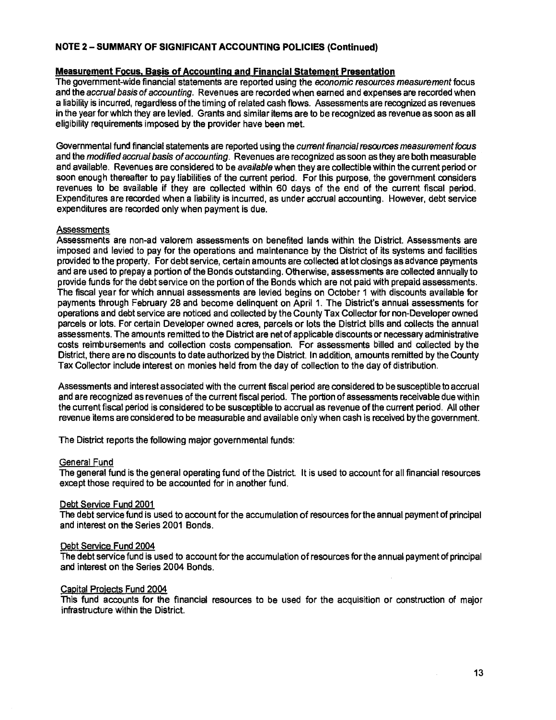# **Measurement Focus, Basis of Accounting and Financial Statement Presentation**

The government-wide financial statements are reported using the economic resources measurement focus and the accrual basis of accounting. Revenues are recorded when earned and expenses are recorded when a liability is incurred, regardless of the timing of related cash flows. Assessments are recognized as revenues in the year for which they are levied. Grants and similar items are to be recognized as revenue as soon as all eligibility requirements imposed by the provider have been met.

Governmental fund financial statements are reported using the *current financial resources measurement focus* and the modified accrual basis of accounting. Revenues are recognized as soon as they are both measurable and available. Revenues are considered to be available when they are collectible within the current period or soon enough thereafter to pay liabilities of the current period. For this purpose, the government considers revenues to be available if they are collected within 60 days of the end of the current fiscal period. Expenditures are recorded when a liability is incurred, as under accrual accounting. However, debt service expenditures are recorded only when payment is due.

#### **Assessments**

Assessments are non-ad valorem assessments on benefited lands within the District. Assessments are imposed and levied to pay for the operations and maintenance by the District of its systems and facilities provided to the property. For debt service, certain amounts are collected at lot closings as advance payments and are used to prepay a portion of the Bonds outstanding. Otherwise, assessments are collected annually to provide funds for the debt service on the portion of the Bonds which are not paid with prepaid assessments. The fiscal year for which annual assessments are levied begins on October 1 with discounts available for payments through February 28 and become delinquent on April 1. The District's annual assessments for operations and debt service are noticed and collected by the County Tax Collector for non-Developer owned parcels or lots. For certain Developer owned acres, parcels or lots the District bills and collects the annual assessments. The amounts remitted to the District are net of applicable discounts or necessary administrative costs reimbursements and collection costs compensation. For assessments billed and collected by the District, there are no discounts to date authorized by the District. In addition, amounts remitted by the County Tax Collector include interest on monies held from the day of collection to the day of distribution.

Assessments and interest associated with the current fiscal period are considered to be susceptible to accrual and are recognized as revenues of the current fiscal period. The portion of assessments receivable due within the current fiscal period is considered to be susceptible to accrual as revenue of the current period. All other revenue items are considered to be measurable and available only when cash is received by the government.

The District reports the following major governmental funds:

## General Fund

The general fund is the general operating fund of the District. It is used to account for all financial resources except those required to be accounted for in another fund.

## Debt Service Fund 2001

The debt service fund is used to account for the accumulation of resources for the annual payment of principal and interest on the Series 2001 Bonds.

#### Debt Service Fund 2004

The debt service fund is used to account for the accumulation of resources for the annual payment of principal and interest on the Series 2004 Bonds.

#### Capital Projects Fund 2004

This fund accounts for the financial resources to be used for the acquisition or construction of major infrastructure within the District.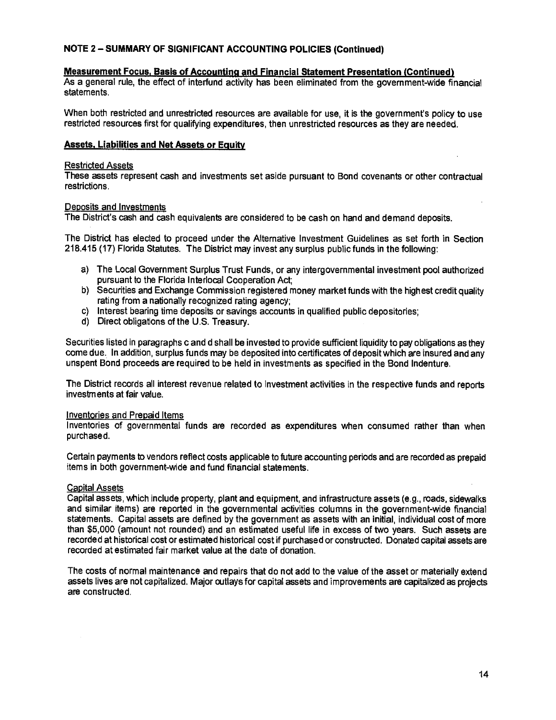# **Measurement Focus, Basis of Accounting and Financial Statement Presentation (Continued)**

As a general rule, the effect of interfund activity has been eliminated from the government-wide financial statements.

When both restricted and unrestricted resources are available for use, it is the government's policy to use restricted resources first for qualifying expenditures, then unrestricted resources as they are needed.

# **Assets. Liabilities and Net Assets or Equity**

#### Restricted Assets

These assets represent cash and investments set aside pursuant to Bond covenants or other contractual restrictions.

## Deposits and Investments

The District's cash and cash equivalents are considered to be cash on hand and demand deposits.

The District has elected to proceed under the Alternative Investment Guidelines as set forth in Section 218.415 (17) Florida Statutes. The District may invest any surplus public funds in the following:

- a) The Local Government Surplus Trust Funds, or any intergovernmental investment pool authorized pursuant to the Florida Interlocal Cooperation Act;
- b) Securities and Exchange Commission registered money market funds with the highest credit quality rating from a nationally recognized rating agency;
- c) Interest bearing time deposits or savings accounts in qualified public depositories;
- d) Direct obligations of the U.S. Treasury.

Securities listed in paragraphs c and d shall be invested to provide sufficient liquidity to pay obligations as they come due. In addition, surplus funds may be deposited into certificates of deposit which are insured and any unspent Bond proceeds are required to be held in investments as specified in the Bond Indenture.

The District records all interest revenue related to investment activities in the respective funds and reports investments at fair value.

## Inventories and Prepaid Items

Inventories of governmental funds are recorded as expenditures when consumed rather than when purchased.

Certain payments to vendors reflect costs applicable to future accounting periods and are recorded as prepaid items in both government-wide and fund financial statements.

## Capital Assets

Capital assets, which include property, plant and equipment, and infrastructure assets (e.g., roads, sidewalks and similar items) are reported in the governmental activities columns in the government-wide financial statements. Capital assets are defined by the government as assets with an initial, individual cost of more than \$5,000 (amount not rounded) and an estimated useful life in excess of two years. Such assets are recorded at historical cost or estimated historical cost if purchased or constructed. Donated capital assets are recorded at estimated fair market value at the date of donation.

The costs of normal maintenance and repairs that do not add to the value of the asset or materially extend assets lives are not capitalized. Major outlays for capital assets and improvements are capitalized as projects are constructed.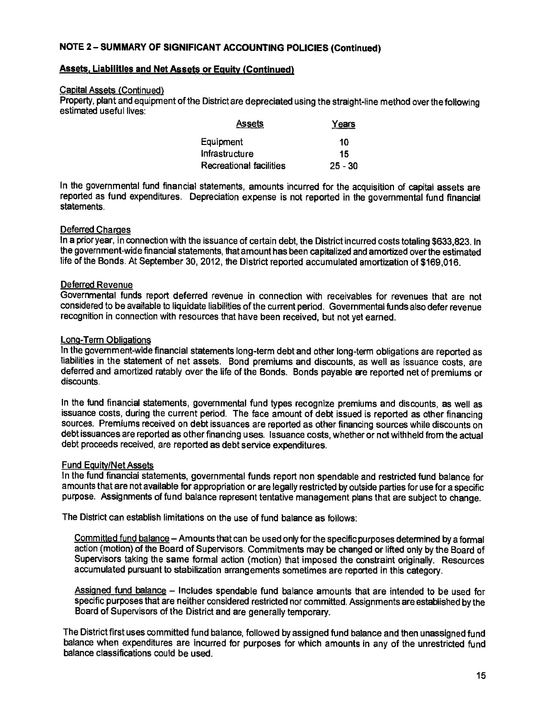# **Assets, Liabilities and Net Assets or Equity (Continued)**

# Capital Assets (Continued)

Property, plant and equipment of the District are depreciated using the straight-line method over the following estimated useful lives:

| <b>Assets</b>           | Years     |
|-------------------------|-----------|
| Equipment               | 10        |
| Infrastructure          | 15        |
| Recreational facilities | $25 - 30$ |

In the governmental fund financial statements, amounts incurred for the acquisition of capital assets are reported as fund expenditures. Depreciation expense is not reported in the governmental fund financial statements.

#### Deferred Charges

In a prior year, in connection with the issuance of certain debt, the District incurred costs totaling \$633,823. In the government-wide financial statements, that amount has been capitalized and amortized over the estimated life of the Bonds. At September 30, 2012, the District reported accumulated amortization of \$169,016.

## Deferred Revenue

Governmental funds report deferred revenue in connection with receivables for revenues that are not considered to be available to liquidate liabilities of the current period. Governmental funds also defer revenue recognition in connection with resources that have been received, but not yet earned.

#### Long-Term Obligations

In the government-wide financial statements long-term debt and other long-term obligations are reported as liabilities in the statement of net assets. Bond premiums and discounts, as well as issuance costs, are deferred and amortized ratably over the life of the Bonds. Bonds payable are reported net of premiums or discounts.

In the fund financial statements, governmental fund types recognize premiums and discounts, as well as issuance costs, during the current period. The face amount of debt issued is reported as other financing sources. Premiums received on debt issuances are reported as other financing sources while discounts on debt issuances are reported as other financing uses. Issuance costs, whether or not withheld from the actual debt proceeds received, are reported as debt service expenditures.

#### Fund Equity/Net Assets

In the fund financial statements, governmental funds report non spendable and restricted fund balance for amounts that are not available for appropriation or are legally restricted by outside parties for use for a specific purpose. Assignments of fund balance represent tentative management plans that are subject to change.

The District can establish limitations on the use of fund balance as follows:

Committed fund balance — Amounts that can be used only for the specific purposes determined by a formal action (motion) of the Board of Supervisors. Commitments may be changed or lifted only by the Board of Supervisors taking the same formal action (motion) that imposed the constraint originally. Resources accumulated pursuant to stabilization arrangements sometimes are reported in this category.

Assigned fund balance — Includes spendable fund balance amounts that are intended to be used for specific purposes that are neither considered restricted nor committed. Assignments are established by the Board of Supervisors of the District and are generally temporary.

The District first uses committed fund balance, followed by assigned fund balance and then unassigned fund balance when expenditures are incurred for purposes for which amounts in any of the unrestricted fund balance classifications could be used.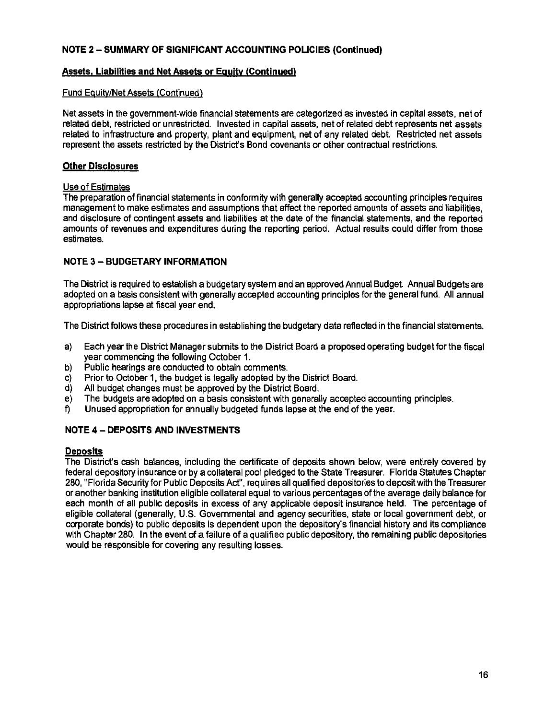# **Assets, Liabilities and Net Assets or Equity (Continued)**

# Fund Equity/Net Assets (Continued)

Net assets in the government-wide financial statements are categorized as invested in capital assets, net of related debt, restricted or unrestricted. Invested in capital assets, net of related debt represents net assets related to infrastructure and property, plant and equipment, net of any related debt. Restricted net assets represent the assets restricted by the District's Bond covenants or other contractual restrictions.

# **Other Disclosures**

## Use of Estimates

The preparation of financial statements in conformity with generally accepted accounting principles requires management to make estimates and assumptions that affect the reported amounts of assets and liabilities, and disclosure of contingent assets and liabilities at the date of the financial statements, and the reported amounts of revenues and expenditures during the reporting period. Actual results could differ from those estimates.

# **NOTE 3 — BUDGETARY INFORMATION**

The District is required to establish a budgetary system and an approved Annual Budget. Annual Budgets are adopted on a basis consistent with generally accepted accounting principles for the general fund. All annual appropriations lapse at fiscal year end.

The District follows these procedures in establishing the budgetary data reflected in the financial statements.

- a) Each year the District Manager submits to the District Board a proposed operating budget for the fiscal year commencing the following October 1.
- b) Public hearings are conducted to obtain comments.
- c) Prior to October 1, the budget is legally adopted by the District Board.
- d) All budget changes must be approved by the District Board.
- e) The budgets are adopted on a basis consistent with generally accepted accounting principles.
- f) Unused appropriation for annually budgeted funds lapse at the end of the year.

# **NOTE 4 — DEPOSITS AND INVESTMENTS**

# **Deposits**

The District's cash balances, including the certificate of deposits shown below, were entirely covered by federal depository insurance or by a collateral pool pledged to the State Treasurer. Florida Statutes Chapter 280, "Florida Security for Public Deposits Act", requires all qualified depositories to deposit with the Treasurer or another banking institution eligible collateral equal to various percentages of the average daily balance for each month of all public deposits in excess of any applicable deposit insurance held. The percentage of eligible collateral (generally, U.S. Governmental and agency securities, state or local government debt, or corporate bonds) to public deposits is dependent upon the depository's financial history and its compliance with Chapter 280. **In** the event of a failure of a qualified public depository, the remaining public depositories would be responsible for covering any resulting losses.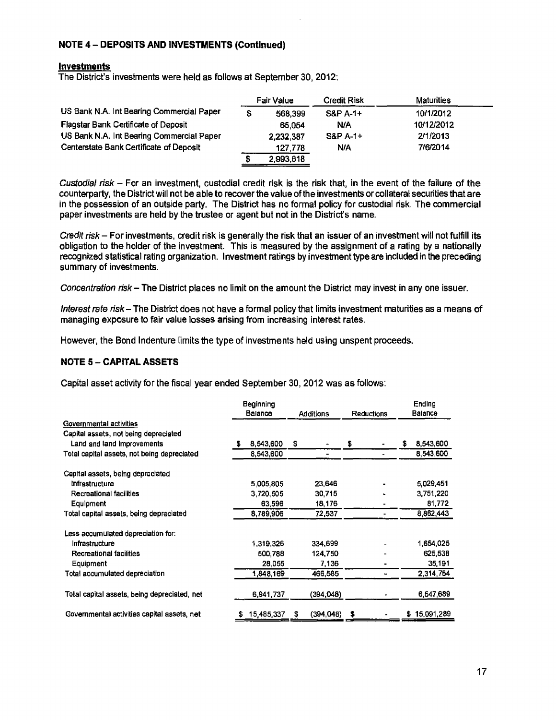# **NOTE 4 - DEPOSITS AND INVESTMENTS (Continued)**

#### **Investments**

The District's investments were held as follows at September 30, 2012:

|                                             | Fair Value |           | <b>Credit Risk</b>  | <b>Maturities</b> |
|---------------------------------------------|------------|-----------|---------------------|-------------------|
| US Bank N.A. Int Bearing Commercial Paper   | S          | 568.399   | <b>S&amp;P A-1+</b> | 10/1/2012         |
| <b>Flagstar Bank Certificate of Deposit</b> |            | 65.054    | N/A                 | 10/12/2012        |
| US Bank N.A. Int Bearing Commercial Paper   |            | 2.232.387 | <b>S&amp;P A-1+</b> | 2/1/2013          |
| Centerstate Bank Certificate of Deposit     |            | 127.778   | <b>N/A</b>          | 7/6/2014          |
|                                             | \$         | 2,993,618 |                     |                   |

Custodial risk - For an investment, custodial credit risk is the risk that, in the event of the failure of the counterparty, the District will not be able to recover the value of the investments or collateral securities that are in the possession of an outside party. The District has no formal policy for custodial risk. The commercial paper investments are held by the trustee or agent but not in the District's name.

Credit risk  $-$  For investments, credit risk is generally the risk that an issuer of an investment will not fulfill its obligation to the holder of the investment. This is measured by the assignment of a rating by a nationally recognized statistical rating organization. **Investment** ratings by investment type are included in the preceding summary of investments.

Concentration risk - The District places no limit on the amount the District may invest in any one issuer.

Interest rate risk- The District does not have a formal policy that limits investment maturities as a means of managing exposure to fair value losses arising from increasing interest rates.

However, the Bond Indenture limits the type of investments held using unspent proceeds.

## **NOTE 5 - CAPITAL ASSETS**

Capital asset activity for the fiscal year ended September 30, 2012 was as follows:

|                                              |  | <b>Beginning</b><br>Balance | <b>Additions</b> |           | Reductions |    | Ending<br>Balance |              |
|----------------------------------------------|--|-----------------------------|------------------|-----------|------------|----|-------------------|--------------|
| Governmental activities                      |  |                             |                  |           |            |    |                   |              |
| Capital assets, not being depreciated        |  |                             |                  |           |            |    |                   |              |
| Land and land improvements                   |  | 8,543,600                   | \$               |           | s.         |    |                   | 8,543,600    |
| Total capital assets, not being depreciated  |  | 8,543,600                   |                  |           |            |    |                   | 8,543,600    |
| Capital assets, being depreciated            |  |                             |                  |           |            |    |                   |              |
| Infrastructure                               |  | 5,005,805                   |                  | 23,646    |            |    |                   | 5,029,451    |
| Recreational facilities                      |  | 3.720.505                   |                  | 30,715    |            |    |                   | 3,751,220    |
| Equipment                                    |  | 63,596                      |                  | 18,176    |            |    |                   | 81.772       |
| Total capital assets, being depreciated      |  | 8,789,906                   |                  | 72,537    |            |    |                   | 8,862,443    |
| Less accumulated depreciation for:           |  |                             |                  |           |            |    |                   |              |
| Infrastructure                               |  | 1,319,326                   |                  | 334,699   |            |    |                   | 1.654,025    |
| Recreational facilities                      |  | 500,788                     |                  | 124,750   |            |    |                   | 625,538      |
| Equipment                                    |  | 28.055                      |                  | 7,136     |            |    |                   | 35,191       |
| Total accumulated depreciation               |  | 1,848.169                   |                  | 466,585   |            | u, |                   | 2,314,754    |
| Total capital assets, being depreciated, net |  | 6,941,737                   |                  | (394,048) |            |    |                   | 6,547,689    |
| Governmental activities capital assets, net  |  | 15,485,337                  |                  | (394,048) | 5          |    |                   | \$15,091,289 |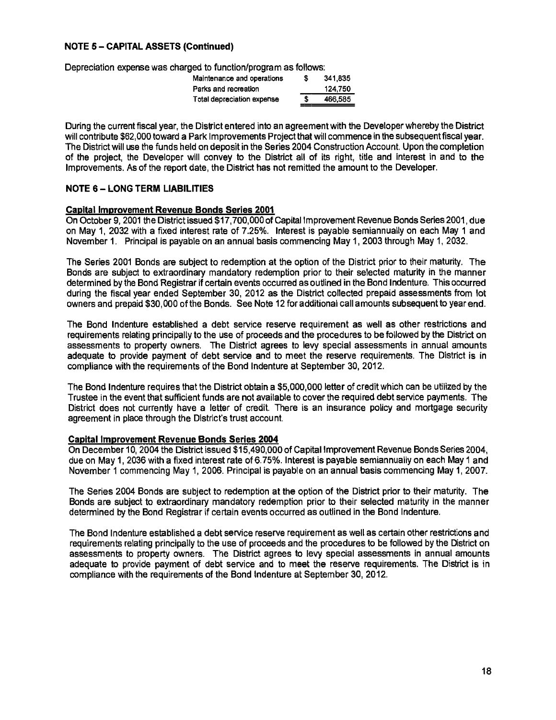# **NOTE 6 — CAPITAL ASSETS (Continued)**

Depreciation expense was charged to function/program as follows:

| Maintenance and operations | s | 341.835 |
|----------------------------|---|---------|
| Parks and recreation       |   | 124.750 |
| Total depreciation expense | s | 466,585 |

During the current fiscal year, the District entered into an agreement with the Developer whereby the District will contribute \$62,000 toward a Park Improvements Project that will commence in the subsequent fiscal year. The District will use the funds held on deposit in the Series 2004 Construction Account. Upon the completion of the project, the Developer will convey to the District all of its right, title and interest in and to the Improvements. As of the report date, the District has not remitted the amount to the Developer.

# **NOTE 6 — LONG TERM LIABILITIES**

## **Capital Improvement Revenue Bonds Series 2001**

**On** October 9, 2001 the District issued \$17,700,000 of Capital Improvement Revenue Bonds Series 2001, due on May 1, 2032 with a fixed interest rate of 7.25%. Interest is payable semiannually on each May 1 and November 1. Principal is payable on an annual basis commencing May 1, 2003 through May 1, 2032.

The Series 2001 Bonds are subject to redemption at the option of the District prior to their maturity. The Bonds are subject to extraordinary mandatory redemption prior to their selected maturity in the manner determined by the Bond Registrar if certain events occurred as outlined in the Bond Indenture. This occurred during the fiscal year ended September 30, 2012 as the District collected prepaid assessments from lot owners and prepaid \$30,000 of the Bonds. See Note 12 for additional call amounts subsequent to year end.

The Bond Indenture established a debt service reserve requirement as well as other restrictions and requirements relating principally to the use of proceeds and the procedures to be followed by the District on assessments to property owners. The District agrees to levy special assessments in annual amounts adequate to provide payment of debt service and to meet the reserve requirements. The District is in compliance with the requirements of the Bond Indenture at September 30, 2012.

The Bond Indenture requires that the District obtain a \$5,000,000 letter of credit which can be utilized by the Trustee in the event that sufficient funds are not available to cover the required debt service payments. The District does not currently have a letter of credit. There is an insurance policy and mortgage security agreement in place through the District's trust account.

## **Capital Improvement Revenue Bonds Series 2004**

**On** December 10, 2004 the District issued \$15,490,000 of Capital Improvement Revenue Bonds Series 2004, due on May 1, 2036 with a fixed interest rate of 6.75%. Interest is payable semiannually on each May 1 and November 1 commencing May 1, 2006. Principal is payable on an annual basis commencing May 1, 2007.

The Series 2004 Bonds are subject to redemption at the option of the District prior to their maturity. The Bonds are subject to extraordinary mandatory redemption prior to their selected maturity in the manner determined by the Bond Registrar if certain events occurred as outlined in the Bond Indenture.

The Bond Indenture established a debt service reserve requirement as well as certain other restrictions and requirements relating principally to the use of proceeds and the procedures to be followed by the District on assessments to property owners. The District agrees to levy special assessments in annual amounts adequate to provide payment of debt service and to meet the reserve requirements. The District is in compliance with the requirements of the Bond Indenture at September 30, 2012.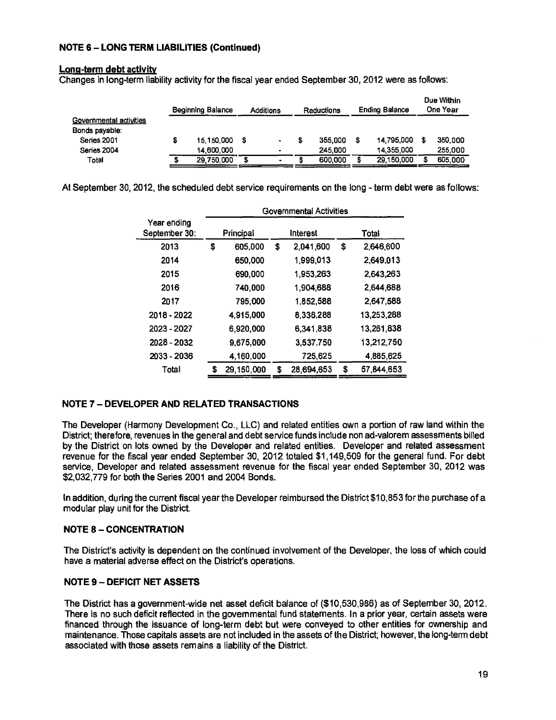# **NOTE 6 — LONG TERM LIABILITIES (Continued)**

# **Long-term debt activity**

**Changes in long-term liability activity for the fiscal year ended September 30, 2012 were as follows:** 

|                         | Beginning Balance |    | Additions      |  | Reductions |     | <b>Ending Balance</b> |  | Due Within<br>One Year |  |
|-------------------------|-------------------|----|----------------|--|------------|-----|-----------------------|--|------------------------|--|
| Governmental activities |                   |    |                |  |            |     |                       |  |                        |  |
| Bonds payable:          |                   |    |                |  |            |     |                       |  |                        |  |
| Series 2001             | 15.150.000        | S  |                |  | 355,000    | - 3 | 14,795,000            |  | 350,000                |  |
| Series 2004             | 14,600,000        |    |                |  | 245.000    |     | 14.355.000            |  | 255,000                |  |
| Total                   | 29,750,000        | £. | $\blacksquare$ |  | 600,000    | S   | 29.150.000            |  | 605,000                |  |

**At September 30, 2012, the scheduled debt service requirements on the long - term debt were as follows:** 

|                              | <b>Governmental Activities</b> |                       |   |            |    |            |  |
|------------------------------|--------------------------------|-----------------------|---|------------|----|------------|--|
| Year ending<br>September 30: |                                | Interest<br>Principal |   |            |    | Total      |  |
| 2013                         | \$                             | 605,000               | s | 2.041.600  | \$ | 2,646,600  |  |
| 2014                         |                                | 650,000               |   | 1,999,013  |    | 2,649,013  |  |
| 2015                         |                                | 690,000               |   | 1,953,263  |    | 2,643,263  |  |
| 2016                         |                                | 740,000               |   | 1,904,688  |    | 2,644,688  |  |
| 2017                         |                                | 795,000               |   | 1,852,588  |    | 2,647,588  |  |
| 2018 - 2022                  |                                | 4,915,000             |   | 8,338,288  |    | 13.253.288 |  |
| 2023 - 2027                  |                                | 6,920,000             |   | 6,341,838  |    | 13,261,838 |  |
| 2028 - 2032                  |                                | 9,675,000             |   | 3,537,750  |    | 13,212,750 |  |
| 2033 - 2036                  |                                | 4,160,000             |   | 725,625    |    | 4,885,625  |  |
| Total                        | S                              | 29,150,000            | Ŝ | 28.694.653 | \$ | 57,844,653 |  |

# **NOTE 7 — DEVELOPER AND RELATED TRANSACTIONS**

**The Developer (Harmony Development Co., LLC) and related entities own a portion of raw land within the District; therefore, revenues in the general and debt service funds include non ad-valorem assessments billed by the District on lots owned by the Developer and related entities. Developer and related assessment revenue for the fiscal year ended September 30, 2012 totaled \$1,149,509 for the general fund. For debt service, Developer and related assessment revenue for the fiscal year ended September 30, 2012 was \$2,032,779 for both the Series 2001 and 2004 Bonds.** 

**In addition, during the current fiscal year the Developer reimbursed the District \$10,853 for the purchase of a modular play unit for the District.** 

# **NOTE 8 — CONCENTRATION**

**The District's activity is dependent on the continued involvement of the Developer, the loss of which could have a material adverse effect on the District's operations.** 

# **NOTE 9 — DEFICIT NET ASSETS**

**The District has a government-wide net asset deficit balance of (\$10,530,986) as of September 30, 2012. There is no such deficit reflected in the governmental fund statements. In a prior year, certain assets were financed through the issuance of long-term debt but were conveyed to other entities for ownership and maintenance. Those capitals assets are not included in the assets of the District; however, the long-term debt associated with those assets remains a liability of the District.**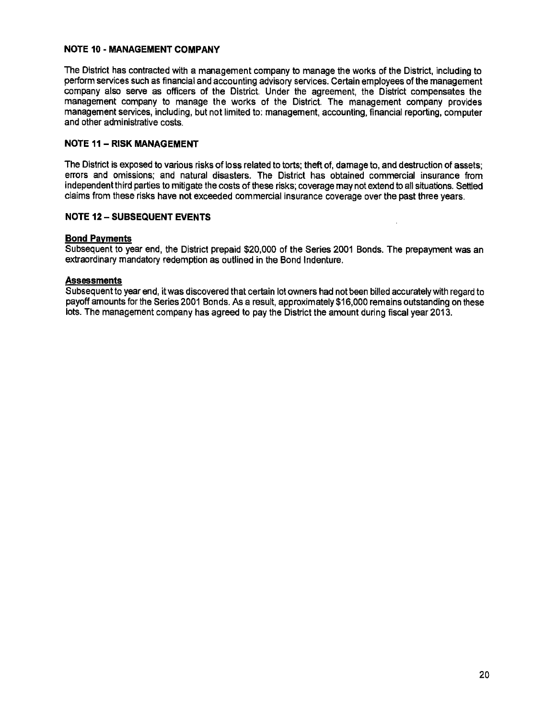# **NOTE 10 - MANAGEMENT COMPANY**

The District has contracted with a management company to manage the works of the District, including to perform services such as financial and accounting advisory services. Certain employees of the management company also serve as officers of the District. Under the agreement, the District compensates the management company to manage the works of the District. The management company provides management services, including, but not limited to: management, accounting, financial reporting, computer and other administrative costs.

# **NOTE 11 — RISK MANAGEMENT**

The District is exposed to various risks of loss related to torts; theft of, damage to, and destruction of assets; errors and omissions; and natural disasters. The District has obtained commercial insurance from independent third parties to mitigate the costs of these risks; coverage may not extend to all situations. Settled claims from these risks have not exceeded commercial insurance coverage over the past three years.

# **NOTE 12 — SUBSEQUENT EVENTS**

## **Bond Payments**

Subsequent to year end, the District prepaid \$20,000 of the Series 2001 Bonds. The prepayment was an extraordinary mandatory redemption as outlined in the Bond Indenture.

## **Assessments**

Subsequent to year end, it was discovered that certain lot owners had not been billed accurately with regard to payoff amounts for the Series 2001 Bonds. As a result, approximately \$16,000 remains outstanding on these lots. The management company has agreed to pay the District the amount during fiscal year 2013.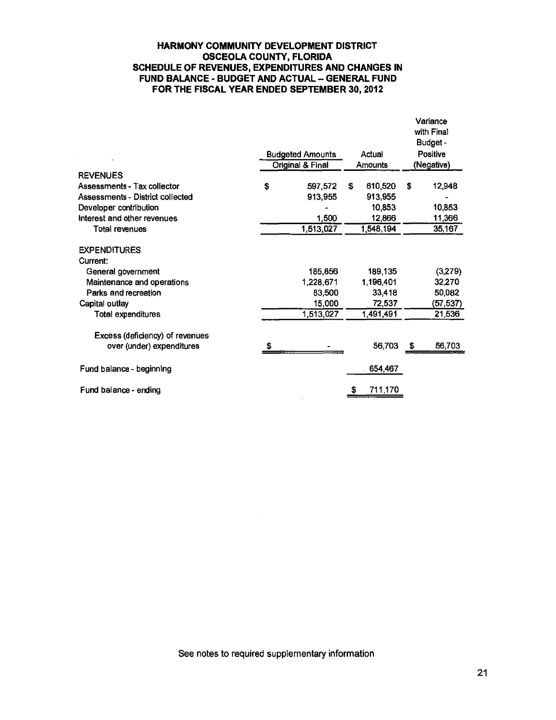# **HARMONY COMMUNITY DEVELOPMENT DISTRICT OSCEOLA COUNTY, FLORIDA SCHEDULE OF REVENUES, EXPENDITURES AND CHANGES IN FUND BALANCE - BUDGET AND ACTUAL — GENERAL FUND FOR THE FISCAL YEAR ENDED SEPTEMBER 30, 2012**

|                                  |   |                         |         |           |          | Variance<br>with Final |
|----------------------------------|---|-------------------------|---------|-----------|----------|------------------------|
|                                  |   |                         |         |           |          | Budget -               |
|                                  |   | <b>Budgeted Amounts</b> |         | Actual    | Positive |                        |
|                                  |   | Original & Final        | Amounts |           |          | (Negative)             |
| <b>REVENUES</b>                  |   |                         |         |           |          |                        |
| Assessments - Tax collector      | S | 597,572                 | S.      | 610,520   | \$       | 12,948                 |
| Assessments - District collected |   | 913,955                 |         | 913,955   |          |                        |
| Developer contribution           |   |                         |         | 10,853    |          | 10,853                 |
| Interest and other revenues      |   | 1,500                   |         | 12,866    |          | 11,366                 |
| <b>Total revenues</b>            |   | 1,513,027               |         | 1,548,194 |          | 35,167                 |
| <b>EXPENDITURES</b>              |   |                         |         |           |          |                        |
| Current:                         |   |                         |         |           |          |                        |
| General government               |   | 185,856                 |         | 189,135   |          | (3,279)                |
| Maintenance and operations       |   | 1,228,671               |         | 1,196,401 |          | 32,270                 |
| Parks and recreation             |   | 83,500                  |         | 33,418    |          | 50,082                 |
| Capital outlay                   |   | 15,000                  |         | 72,537    |          | (57, 537)              |
| Total expenditures               |   | 1,513,027               |         | 1,491,491 |          | 21,536                 |
| Excess (deficiency) of revenues  |   |                         |         |           |          |                        |
| over (under) expenditures        |   |                         |         | 56,703    | \$       | 56,703                 |
|                                  |   |                         |         |           |          |                        |
| Fund balance - beginning         |   |                         |         | 654,467   |          |                        |
| Fund balance - ending            |   |                         | \$      | 711 170   |          |                        |

See notes to required supplementary information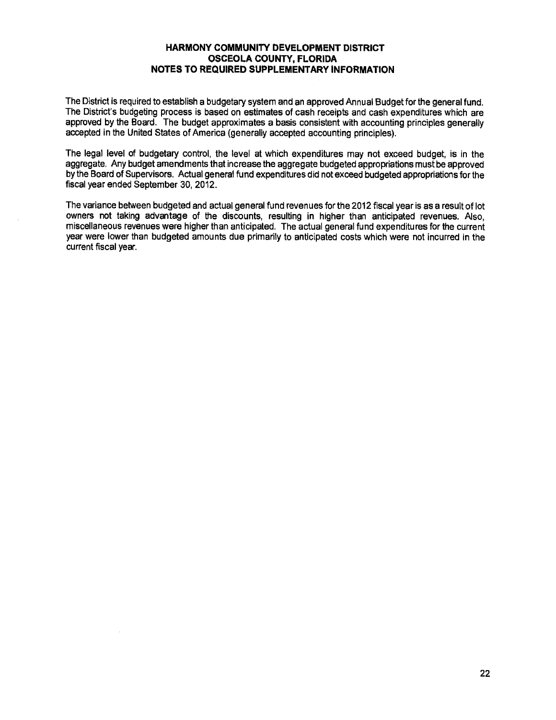# **HARMONY COMMUNITY DEVELOPMENT DISTRICT OSCEOLA COUNTY, FLORIDA NOTES TO REQUIRED SUPPLEMENTARY INFORMATION**

The District is required to establish a budgetary system and an approved Annual Budget for the general fund. The District's budgeting process is based on estimates of cash receipts and cash expenditures which are approved by the Board. The budget approximates a basis consistent with accounting principles generally accepted in the United States of America (generally accepted accounting principles).

The legal level of budgetary control, the level at which expenditures may not exceed budget, is in the aggregate. Any budget amendments that increase the aggregate budgeted appropriations must be approved by the Board of Supervisors. Actual general fund expenditures did not exceed budgeted appropriations for the fiscal year ended September 30, 2012.

The variance between budgeted and actual general fund revenues for the 2012 fiscal year is as a result of lot owners not taking advantage of the discounts, resulting in higher than anticipated revenues. Also, miscellaneous revenues were higher than anticipated. The actual general fund expenditures for the current year were lower than budgeted amounts due primarily to anticipated costs which were not incurred in the current fiscal year.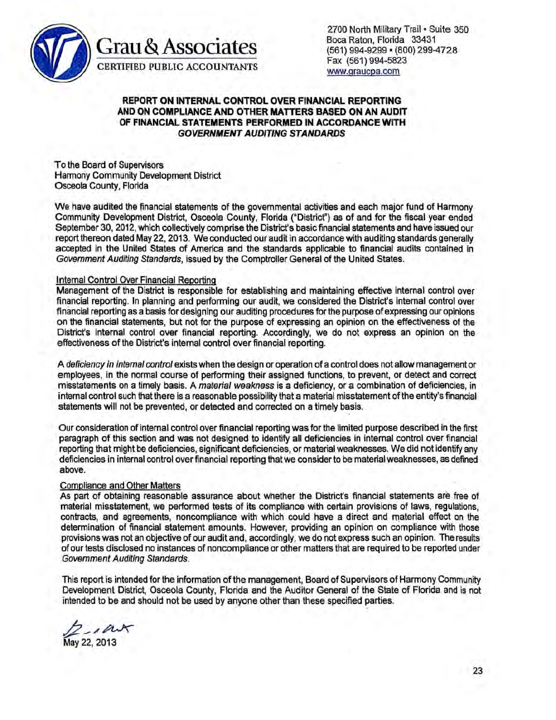

# Grau& Associates

CERTIFIED PUBLIC ACCOUNTANTS

2700 North Military Trail • Suite 350 Boca Raton, Florida 33431 (561) 994-9299 • (800) 299-4728 Fax (561) 994-5823 www.graucpa.com

# **REPORT ON INTERNAL CONTROL OVER FINANCIAL REPORTING AND ON COMPLIANCE AND OTHER MATTERS BASED ON AN AUDIT OF FINANCIAL STATEMENTS PERFORMED IN ACCORDANCE WITH**  GOVERNMENT AUDITING STANDARDS

**To** the Board of Supervisors Harmony Community Development District Osceola County, Florida

We have audited the financial statements of the governmental activities and each major fund of Harmony Community Development District, Osceola County, Florida ("District") as of and for the fiscal year ended September 30, 2012, which collectively comprise the District's basic financial statements and have issued our report thereon dated May 22, 2013. We conducted our audit in accordance with auditing standards generally accepted in the United States of America and the standards applicable to financial audits contained in Government Auditing Standards, issued by the Comptroller General of the United States.

# Internal Control Over Financial Reporting

Management of the District is responsible for establishing and maintaining effective internal control over financial reporting. In planning and performing our audit, we considered the District's internal control over financial reporting as a basis for designing our auditing procedures for the purpose of expressing our opinions on the financial statements, but not for the purpose of expressing an opinion on the effectiveness of the District's internal control over financial reporting. Accordingly, we do not express an opinion on the effectiveness of the District's internal control over financial reporting.

A deficiency in internal control exists when the design or operation of a control does not allow management or employees, in the normal course of performing their assigned functions, to prevent, or detect and correct misstatements on a timely basis. A material weakness is a deficiency, or a combination of deficiencies, in internal control such that there is a reasonable possibility that a material misstatement of the entity's financial statements will not be prevented, or detected and corrected on a timely basis.

Our consideration of internal control over financial reporting was for the limited purpose described in the first paragraph of this section and was not designed to identify all deficiencies in internal control over financial reporting that might be deficiencies, significant deficiencies, or material weaknesses. We did not identify any deficiencies in internal control over financial reporting that we consider to be material weaknesses, as defined above.

# Compliance and Other Matters

As part of obtaining reasonable assurance about whether the District's financial statements are free of material misstatement, we performed tests of its compliance with certain provisions of laws, regulations, contracts, and agreements, noncompliance with which could have a direct and material effect on the determination of financial statement amounts. However, providing an opinion on compliance with those provisions was not an objective of our audit and, accordingly, we do not express such an opinion. The results of our tests disclosed no instances of noncompliance or other matters that are required to be reported under Government Auditing Standards.

This report is intended for the information of the management, Board of Supervisors of Harmony Community Development District, Osceola County, Florida and the Auditor General of the State of Florida and is not intended to be and should not be used by anyone other than these specified parties.

 $M$ <br>May 22, 2013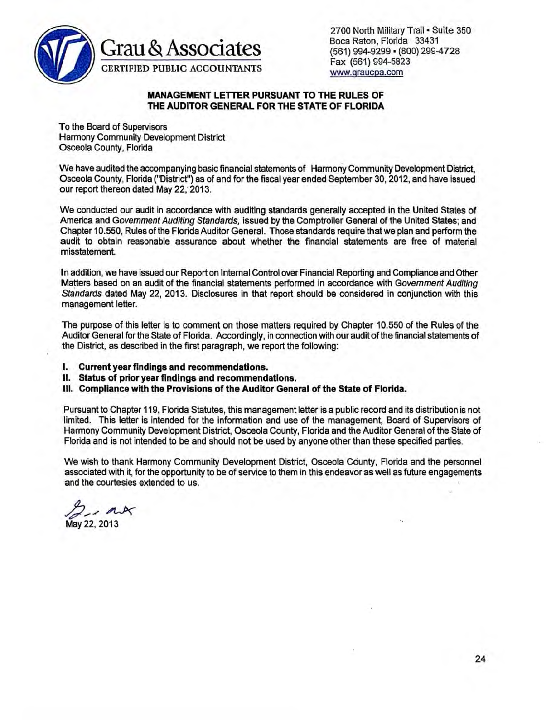

2700 North Military Trail • Suite 350 Boca Raton, Florida 33431 (561) 994-9299 • (800) 299-4728 Fax (561) 994-6823 www.graucpa.com

# **MANAGEMENT LETTER PURSUANT TO THE RULES OF THE AUDITOR GENERAL FOR THE STATE OF FLORIDA**

To the Board of Supervisors Harmony Community Development District Osceola County, Florida

We have audited the accompanying basic financial statements of Harmony Community Development District, Osceola County, Florida ("District') as of and for the fiscal year ended September 30, 2012, and have issued our report thereon dated May 22, 2013.

We conducted our audit in accordance with auditing standards generally accepted in the United States of America and Government Auditing Standards, issued by the Comptroller General of the United States; and Chapter 10.550, Rules of the Florida Auditor General. Those standards require that we plan and perform the audit to obtain reasonable assurance about whether the financial statements are free of material misstatement.

**In** addition, we have issued our Report on Internal Control over Financial Reporting and Compliance and Other Matters based on an audit of the financial statements performed in accordance with Government Auditing Standards dated May 22, 2013. Disclosures in that report should be considered in conjunction with this management letter.

The purpose of this letter is to comment on those matters required by Chapter 10.550 of the Rules of the Auditor General for the State of Florida. Accordingly, in connection with our audit of the financial statements of the District, as described in the first paragraph, we report the following:

- **I. Current year findings and recommendations.**
- **II. Status of prior year findings and recommendations.**
- **Ill. Compliance with the Provisions of the Auditor General of the State of Florida.**

Pursuant to Chapter 119, Florida Statutes, this management letter is a public record and its distribution is not limited. This letter is intended for the information and use of the management, Board of Supervisors of Harmony Community Development District, Osceola County, Florida and the Auditor General of the State of Florida and is not intended to be and should not be used by anyone other than these specified parties.

We wish to thank Harmony Community Development District, Osceola County, Florida and the personnel associated with it, for the opportunity to be of service to them in this endeavor as well as future engagements and the courtesies extended to us.

 $M_{\text{avg}}$  22, 2013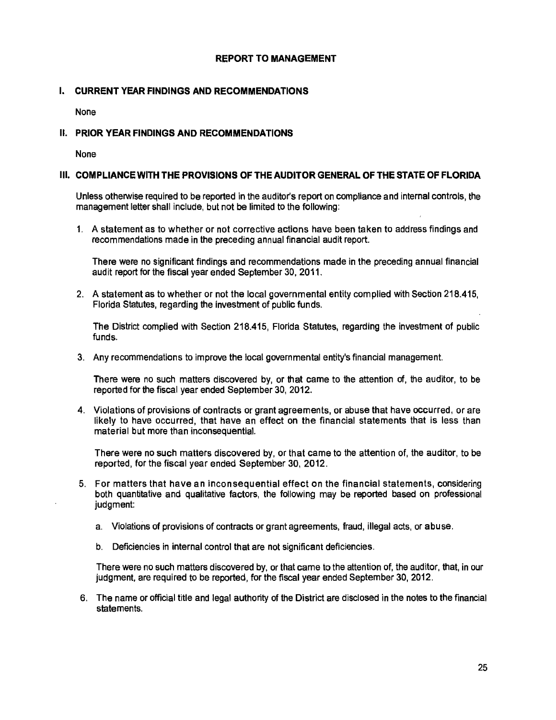# **REPORT TO MANAGEMENT**

# **I. CURRENT YEAR FINDINGS AND RECOMMENDATIONS**

None

# **II. PRIOR YEAR FINDINGS AND RECOMMENDATIONS**

None

# **III. COMPLIANCE WITH THE PROVISIONS OF THE AUDITOR GENERAL OF THE STATE OF FLORIDA**

Unless otherwise required to be reported in the auditor's report on compliance and internal controls, the management letter shall include, but not be limited to the following:

1. A statement as to whether or not corrective actions have been taken to address findings and recommendations made in the preceding annual financial audit report.

There were no significant findings and recommendations made in the preceding annual financial audit report for the fiscal year ended September 30, 2011.

2. A statement as to whether or not the local governmental entity complied with Section 218.415, Florida Statutes, regarding the investment of public funds.

The District complied with Section 218.415, Florida Statutes, regarding the investment of public funds.

3. Any recommendations to improve the local governmental entity's financial management.

There were no such matters discovered by, or that came to the attention of, the auditor, to be reported for the fiscal year ended September 30, 2012.

4. Violations of provisions of contracts or grant agreements, or abuse that have occurred, or are likely to have occurred, that have an effect on the financial statements that is less than material but more than inconsequential.

There were no such matters discovered by, or that came to the attention of, the auditor, to be reported, for the fiscal year ended September 30, 2012.

- 5. For matters that have an inconsequential effect on the financial statements, considering both quantitative and qualitative factors, the following may be reported based on professional judgment:
	- a. Violations of provisions of contracts or grant agreements, fraud, illegal acts, or abuse.
	- b. Deficiencies in internal control that are not significant deficiencies.

There were no such matters discovered by, or that came to the attention of, the auditor, that, in our judgment, are required to be reported, for the fiscal year ended September 30, 2012.

6. The name or official title and legal authority of the District are disclosed in the notes to the financial statements.